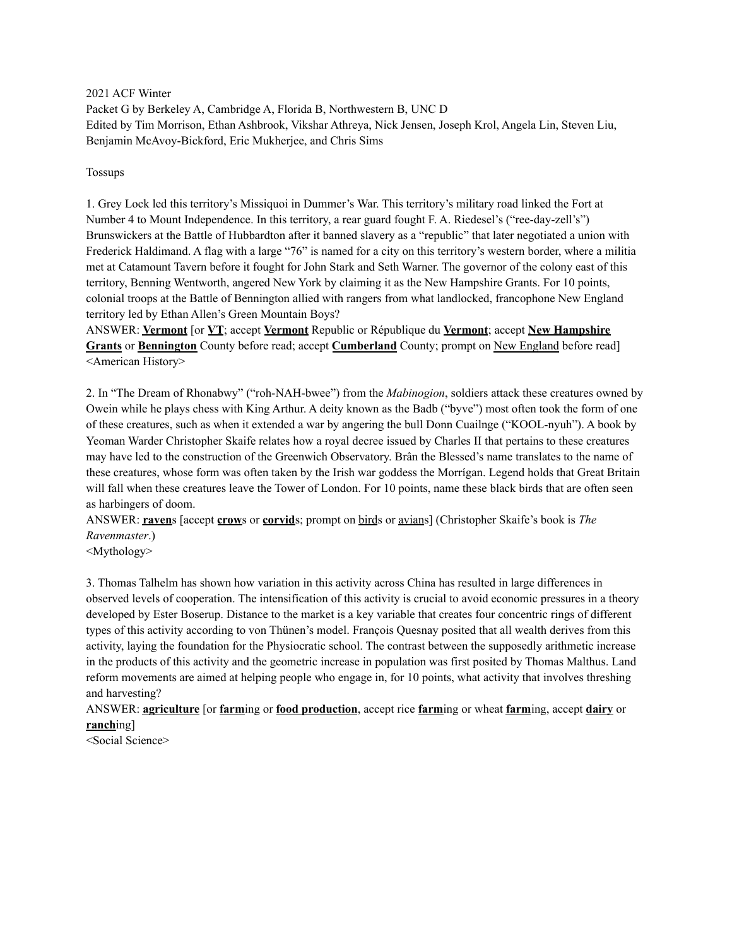2021 ACF Winter Packet G by Berkeley A, Cambridge A, Florida B, Northwestern B, UNC D Edited by Tim Morrison, Ethan Ashbrook, Vikshar Athreya, Nick Jensen, Joseph Krol, Angela Lin, Steven Liu, Benjamin McAvoy-Bickford, Eric Mukherjee, and Chris Sims

#### Tossups

1. Grey Lock led this territory's Missiquoi in Dummer's War. This territory's military road linked the Fort at Number 4 to Mount Independence. In this territory, a rear guard fought F. A. Riedesel's ("ree-day-zell's") Brunswickers at the Battle of Hubbardton after it banned slavery as a "republic" that later negotiated a union with Frederick Haldimand. A flag with a large "76" is named for a city on this territory's western border, where a militia met at Catamount Tavern before it fought for John Stark and Seth Warner. The governor of the colony east of this territory, Benning Wentworth, angered New York by claiming it as the New Hampshire Grants. For 10 points, colonial troops at the Battle of Bennington allied with rangers from what landlocked, francophone New England territory led by Ethan Allen's Green Mountain Boys?

ANSWER: **Vermont** [or **VT**; accept **Vermont** Republic or République du **Vermont**; accept **New Hampshire Grants** or **Bennington** County before read; accept **Cumberland** County; prompt on New England before read] <American History>

2. In "The Dream of Rhonabwy" ("roh-NAH-bwee") from the *Mabinogion*, soldiers attack these creatures owned by Owein while he plays chess with King Arthur. A deity known as the Badb ("byve") most often took the form of one of these creatures, such as when it extended a war by angering the bull Donn Cuailnge ("KOOL-nyuh"). A book by Yeoman Warder Christopher Skaife relates how a royal decree issued by Charles II that pertains to these creatures may have led to the construction of the Greenwich Observatory. Brân the Blessed's name translates to the name of these creatures, whose form was often taken by the Irish war goddess the Morrígan. Legend holds that Great Britain will fall when these creatures leave the Tower of London. For 10 points, name these black birds that are often seen as harbingers of doom.

ANSWER: **raven**s [accept **crow**s or **corvid**s; prompt on birds or avians] (Christopher Skaife's book is *The Ravenmaster*.)

<Mythology>

3. Thomas Talhelm has shown how variation in this activity across China has resulted in large differences in observed levels of cooperation. The intensification of this activity is crucial to avoid economic pressures in a theory developed by Ester Boserup. Distance to the market is a key variable that creates four concentric rings of different types of this activity according to von Thünen's model. François Quesnay posited that all wealth derives from this activity, laying the foundation for the Physiocratic school. The contrast between the supposedly arithmetic increase in the products of this activity and the geometric increase in population was first posited by Thomas Malthus. Land reform movements are aimed at helping people who engage in, for 10 points, what activity that involves threshing and harvesting?

ANSWER: **agriculture** [or **farm**ing or **food production**, accept rice **farm**ing or wheat **farm**ing, accept **dairy** or **ranch**ing]

<Social Science>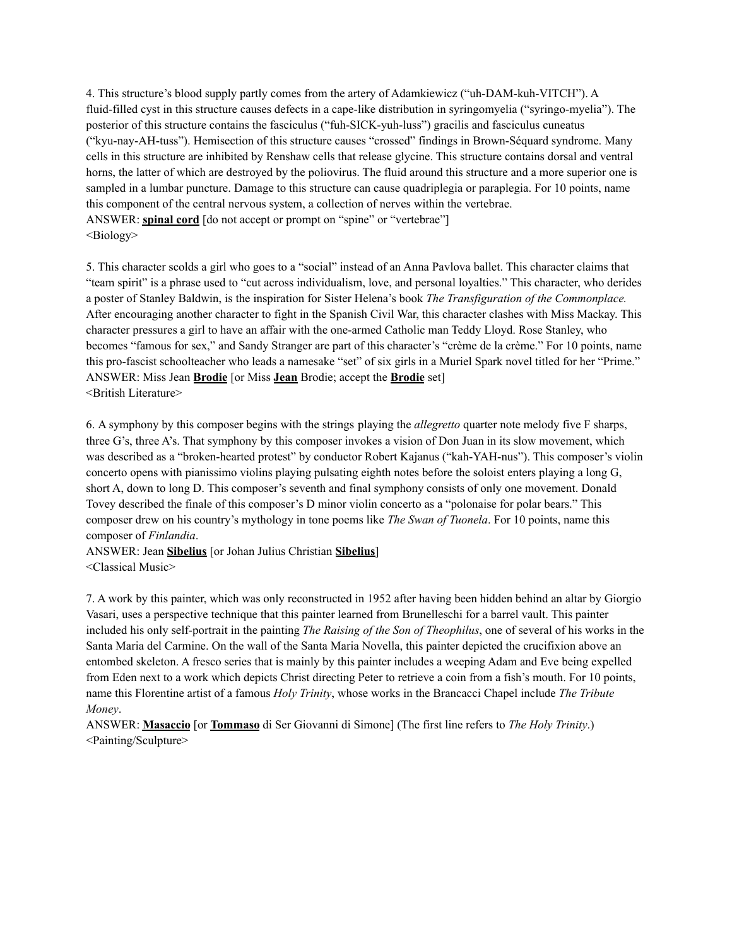4. This structure's blood supply partly comes from the artery of Adamkiewicz ("uh-DAM-kuh-VITCH"). A fluid-filled cyst in this structure causes defects in a cape-like distribution in syringomyelia ("syringo-myelia"). The posterior of this structure contains the fasciculus ("fuh-SICK-yuh-luss") gracilis and fasciculus cuneatus ("kyu-nay-AH-tuss"). Hemisection of this structure causes "crossed" findings in Brown-Séquard syndrome. Many cells in this structure are inhibited by Renshaw cells that release glycine. This structure contains dorsal and ventral horns, the latter of which are destroyed by the poliovirus. The fluid around this structure and a more superior one is sampled in a lumbar puncture. Damage to this structure can cause quadriplegia or paraplegia. For 10 points, name this component of the central nervous system, a collection of nerves within the vertebrae. ANSWER: **spinal cord** [do not accept or prompt on "spine" or "vertebrae"] <Biology>

5. This character scolds a girl who goes to a "social" instead of an Anna Pavlova ballet. This character claims that "team spirit" is a phrase used to "cut across individualism, love, and personal loyalties." This character, who derides a poster of Stanley Baldwin, is the inspiration for Sister Helena's book *The Transfiguration of the Commonplace.* After encouraging another character to fight in the Spanish Civil War, this character clashes with Miss Mackay. This character pressures a girl to have an affair with the one-armed Catholic man Teddy Lloyd. Rose Stanley, who becomes "famous for sex," and Sandy Stranger are part of this character's "crème de la crème." For 10 points, name this pro-fascist schoolteacher who leads a namesake "set" of six girls in a Muriel Spark novel titled for her "Prime." ANSWER: Miss Jean **Brodie** [or Miss **Jean** Brodie; accept the **Brodie** set] <British Literature>

6. A symphony by this composer begins with the strings playing the *allegretto* quarter note melody five F sharps, three G's, three A's. That symphony by this composer invokes a vision of Don Juan in its slow movement, which was described as a "broken-hearted protest" by conductor Robert Kajanus ("kah-YAH-nus"). This composer's violin concerto opens with pianissimo violins playing pulsating eighth notes before the soloist enters playing a long G, short A, down to long D. This composer's seventh and final symphony consists of only one movement. Donald Tovey described the finale of this composer's D minor violin concerto as a "polonaise for polar bears." This composer drew on his country's mythology in tone poems like *The Swan of Tuonela*. For 10 points, name this composer of *Finlandia*.

ANSWER: Jean **Sibelius** [or Johan Julius Christian **Sibelius**] <Classical Music>

7. A work by this painter, which was only reconstructed in 1952 after having been hidden behind an altar by Giorgio Vasari, uses a perspective technique that this painter learned from Brunelleschi for a barrel vault. This painter included his only self-portrait in the painting *The Raising of the Son of Theophilus*, one of several of his works in the Santa Maria del Carmine. On the wall of the Santa Maria Novella, this painter depicted the crucifixion above an entombed skeleton. A fresco series that is mainly by this painter includes a weeping Adam and Eve being expelled from Eden next to a work which depicts Christ directing Peter to retrieve a coin from a fish's mouth. For 10 points, name this Florentine artist of a famous *Holy Trinity*, whose works in the Brancacci Chapel include *The Tribute Money*.

ANSWER: **Masaccio** [or **Tommaso** di Ser Giovanni di Simone] (The first line refers to *The Holy Trinity*.) <Painting/Sculpture>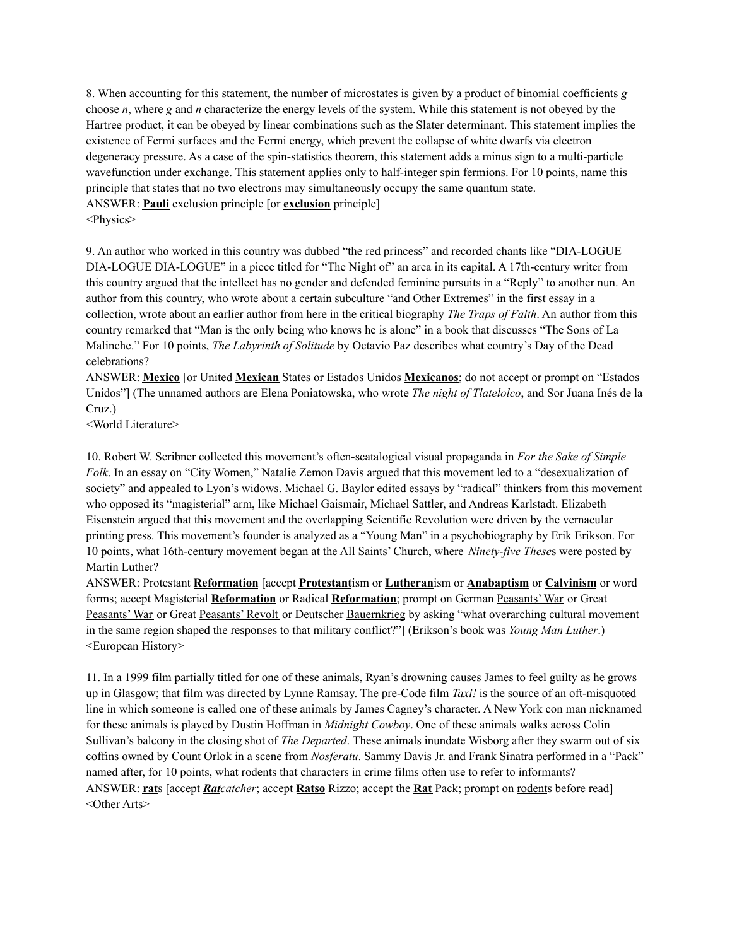8. When accounting for this statement, the number of microstates is given by a product of binomial coefficients *g* choose *n*, where *g* and *n* characterize the energy levels of the system. While this statement is not obeyed by the Hartree product, it can be obeyed by linear combinations such as the Slater determinant. This statement implies the existence of Fermi surfaces and the Fermi energy, which prevent the collapse of white dwarfs via electron degeneracy pressure. As a case of the spin-statistics theorem, this statement adds a minus sign to a multi-particle wavefunction under exchange. This statement applies only to half-integer spin fermions. For 10 points, name this principle that states that no two electrons may simultaneously occupy the same quantum state. ANSWER: **Pauli** exclusion principle [or **exclusion** principle] <Physics>

9. An author who worked in this country was dubbed "the red princess" and recorded chants like "DIA-LOGUE DIA-LOGUE DIA-LOGUE" in a piece titled for "The Night of" an area in its capital. A 17th-century writer from this country argued that the intellect has no gender and defended feminine pursuits in a "Reply" to another nun. An author from this country, who wrote about a certain subculture "and Other Extremes" in the first essay in a collection, wrote about an earlier author from here in the critical biography *The Traps of Faith*. An author from this country remarked that "Man is the only being who knows he is alone" in a book that discusses "The Sons of La Malinche." For 10 points, *The Labyrinth of Solitude* by Octavio Paz describes what country's Day of the Dead celebrations?

ANSWER: **Mexico** [or United **Mexican** States or Estados Unidos **Mexicanos**; do not accept or prompt on "Estados Unidos"] (The unnamed authors are Elena Poniatowska, who wrote *The night of Tlatelolco*, and Sor Juana Inés de la Cruz.)

<World Literature>

10. Robert W. Scribner collected this movement's often-scatalogical visual propaganda in *For the Sake of Simple Folk*. In an essay on "City Women," Natalie Zemon Davis argued that this movement led to a "desexualization of society" and appealed to Lyon's widows. Michael G. Baylor edited essays by "radical" thinkers from this movement who opposed its "magisterial" arm, like Michael Gaismair, Michael Sattler, and Andreas Karlstadt. Elizabeth Eisenstein argued that this movement and the overlapping Scientific Revolution were driven by the vernacular printing press. This movement's founder is analyzed as a "Young Man" in a psychobiography by Erik Erikson. For 10 points, what 16th-century movement began at the All Saints' Church, where *Ninety-five These*s were posted by Martin Luther?

ANSWER: Protestant **Reformation** [accept **Protestant**ism or **Lutheran**ism or **Anabaptism** or **Calvinism** or word forms; accept Magisterial **Reformation** or Radical **Reformation**; prompt on German Peasants' War or Great Peasants' War or Great Peasants' Revolt or Deutscher Bauernkrieg by asking "what overarching cultural movement in the same region shaped the responses to that military conflict?"] (Erikson's book was *Young Man Luther*.) <European History>

11. In a 1999 film partially titled for one of these animals, Ryan's drowning causes James to feel guilty as he grows up in Glasgow; that film was directed by Lynne Ramsay. The pre-Code film *Taxi!* is the source of an oft-misquoted line in which someone is called one of these animals by James Cagney's character. A New York con man nicknamed for these animals is played by Dustin Hoffman in *Midnight Cowboy*. One of these animals walks across Colin Sullivan's balcony in the closing shot of *The Departed*. These animals inundate Wisborg after they swarm out of six coffins owned by Count Orlok in a scene from *Nosferatu*. Sammy Davis Jr. and Frank Sinatra performed in a "Pack" named after, for 10 points, what rodents that characters in crime films often use to refer to informants? ANSWER: **rat**s [accept *Ratcatcher*; accept **Ratso** Rizzo; accept the **Rat** Pack; prompt on rodents before read] <Other Arts>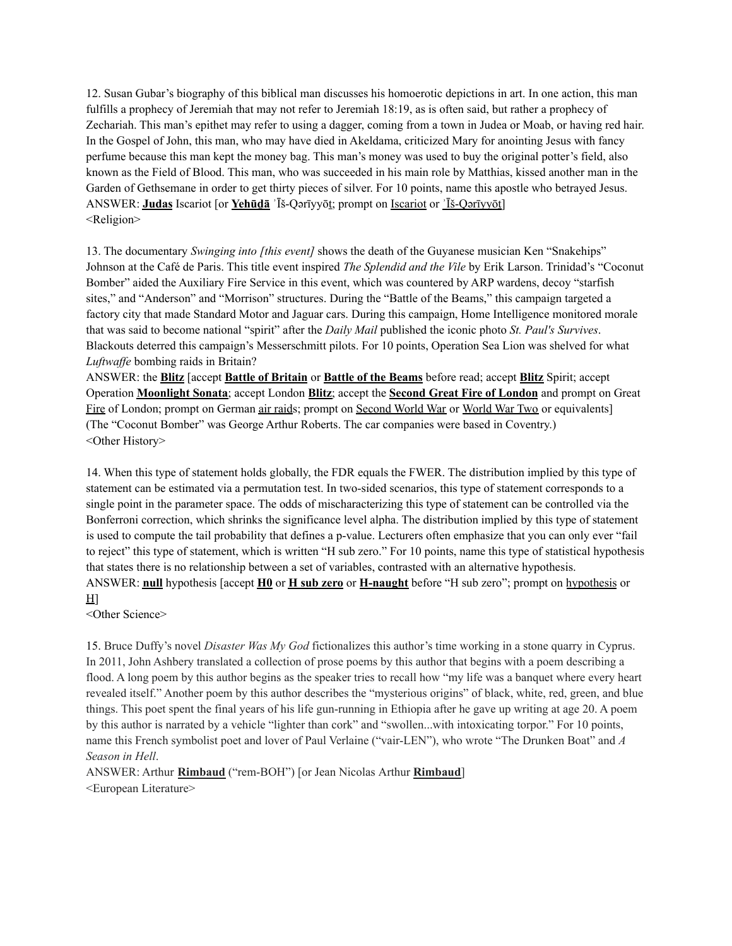12. Susan Gubar's biography of this biblical man discusses his homoerotic depictions in art. In one action, this man fulfills a prophecy of Jeremiah that may not refer to Jeremiah 18:19, as is often said, but rather a prophecy of Zechariah. This man's epithet may refer to using a dagger, coming from a town in Judea or Moab, or having red hair. In the Gospel of John, this man, who may have died in Akeldama, criticized Mary for anointing Jesus with fancy perfume because this man kept the money bag. This man's money was used to buy the original potter's field, also known as the Field of Blood. This man, who was succeeded in his main role by Matthias, kissed another man in the Garden of Gethsemane in order to get thirty pieces of silver. For 10 points, name this apostle who betrayed Jesus. ANSWER: **Judas** Iscariot [or **Yehūḏā** ʾĪš-Qǝrīyyōṯ; prompt on Iscariot or ʾĪš-Qǝrīyyōṯ] <Religion>

13. The documentary *Swinging into [this event]* shows the death of the Guyanese musician Ken "Snakehips" Johnson at the Café de Paris. This title event inspired *The Splendid and the Vile* by Erik Larson. Trinidad's "Coconut Bomber" aided the Auxiliary Fire Service in this event, which was countered by ARP wardens, decoy "starfish sites," and "Anderson" and "Morrison" structures. During the "Battle of the Beams," this campaign targeted a factory city that made Standard Motor and Jaguar cars. During this campaign, Home Intelligence monitored morale that was said to become national "spirit" after the *Daily Mail* published the iconic photo *St. Paul's Survives*. Blackouts deterred this campaign's Messerschmitt pilots. For 10 points, Operation Sea Lion was shelved for what *Luftwaffe* bombing raids in Britain?

ANSWER: the **Blitz** [accept **Battle of Britain** or **Battle of the Beams** before read; accept **Blitz** Spirit; accept Operation **Moonlight Sonata**; accept London **Blitz**; accept the **Second Great Fire of London** and prompt on Great Fire of London; prompt on German air raids; prompt on Second World War or World War Two or equivalents] (The "Coconut Bomber" was George Arthur Roberts. The car companies were based in Coventry.) <Other History>

14. When this type of statement holds globally, the FDR equals the FWER. The distribution implied by this type of statement can be estimated via a permutation test. In two-sided scenarios, this type of statement corresponds to a single point in the parameter space. The odds of mischaracterizing this type of statement can be controlled via the Bonferroni correction, which shrinks the significance level alpha. The distribution implied by this type of statement is used to compute the tail probability that defines a p-value. Lecturers often emphasize that you can only ever "fail to reject" this type of statement, which is written "H sub zero." For 10 points, name this type of statistical hypothesis that states there is no relationship between a set of variables, contrasted with an alternative hypothesis. ANSWER: **null** hypothesis [accept **H0** or **H sub zero** or **H-naught** before "H sub zero"; prompt on hypothesis or  $H$ ]

<Other Science>

15. Bruce Duffy's novel *Disaster Was My God* fictionalizes this author's time working in a stone quarry in Cyprus. In 2011, John Ashbery translated a collection of prose poems by this author that begins with a poem describing a flood. A long poem by this author begins as the speaker tries to recall how "my life was a banquet where every heart revealed itself." Another poem by this author describes the "mysterious origins" of black, white, red, green, and blue things. This poet spent the final years of his life gun-running in Ethiopia after he gave up writing at age 20. A poem by this author is narrated by a vehicle "lighter than cork" and "swollen...with intoxicating torpor." For 10 points, name this French symbolist poet and lover of Paul Verlaine ("vair-LEN"), who wrote "The Drunken Boat" and *A Season in Hell*.

ANSWER: Arthur **Rimbaud** ("rem-BOH") [or Jean Nicolas Arthur **Rimbaud**] <European Literature>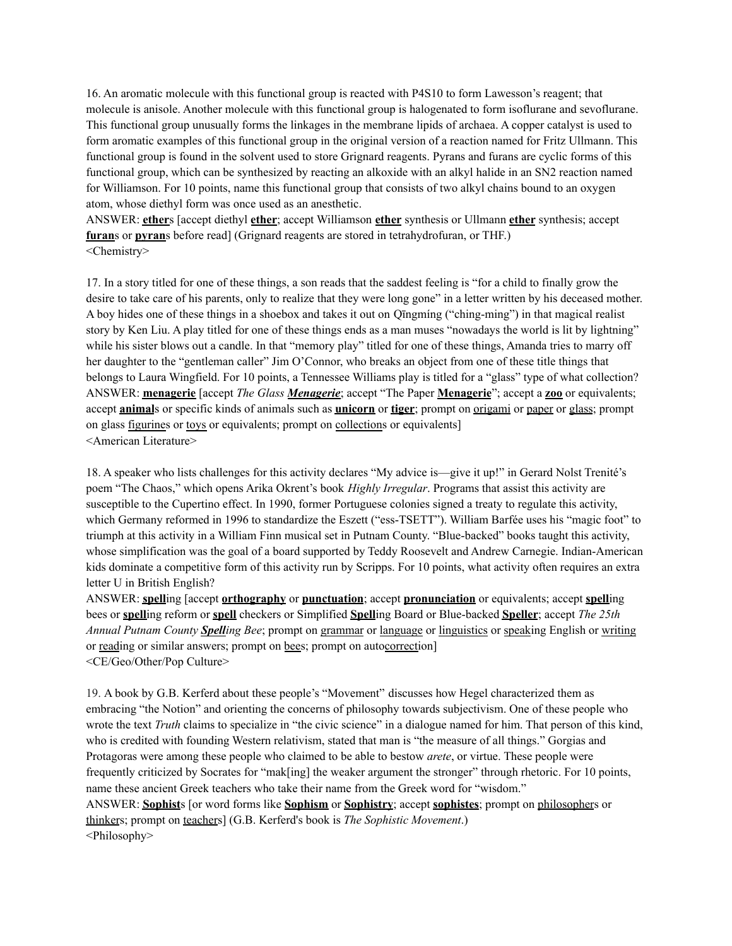16. An aromatic molecule with this functional group is reacted with P4S10 to form Lawesson's reagent; that molecule is anisole. Another molecule with this functional group is halogenated to form isoflurane and sevoflurane. This functional group unusually forms the linkages in the membrane lipids of archaea. A copper catalyst is used to form aromatic examples of this functional group in the original version of a reaction named for Fritz Ullmann. This functional group is found in the solvent used to store Grignard reagents. Pyrans and furans are cyclic forms of this functional group, which can be synthesized by reacting an alkoxide with an alkyl halide in an SN2 reaction named for Williamson. For 10 points, name this functional group that consists of two alkyl chains bound to an oxygen atom, whose diethyl form was once used as an anesthetic.

ANSWER: **ether**s [accept diethyl **ether**; accept Williamson **ether** synthesis or Ullmann **ether** synthesis; accept **furan**s or **pyran**s before read] (Grignard reagents are stored in tetrahydrofuran, or THF.) <Chemistry>

17. In a story titled for one of these things, a son reads that the saddest feeling is "for a child to finally grow the desire to take care of his parents, only to realize that they were long gone" in a letter written by his deceased mother. A boy hides one of these things in a shoebox and takes it out on Qīngmíng ("ching-ming") in that magical realist story by Ken Liu. A play titled for one of these things ends as a man muses "nowadays the world is lit by lightning" while his sister blows out a candle. In that "memory play" titled for one of these things, Amanda tries to marry off her daughter to the "gentleman caller" Jim O'Connor, who breaks an object from one of these title things that belongs to Laura Wingfield. For 10 points, a Tennessee Williams play is titled for a "glass" type of what collection? ANSWER: **menagerie** [accept *The Glass Menagerie*; accept "The Paper **Menagerie**"; accept a **zoo** or equivalents; accept **animal**s or specific kinds of animals such as **unicorn** or **tiger**; prompt on origami or paper or glass; prompt on glass figurines or toys or equivalents; prompt on collections or equivalents] <American Literature>

18. A speaker who lists challenges for this activity declares "My advice is—give it up!" in Gerard Nolst Trenité's poem "The Chaos," which opens Arika Okrent's book *Highly Irregular*. Programs that assist this activity are susceptible to the Cupertino effect. In 1990, former Portuguese colonies signed a treaty to regulate this activity, which Germany reformed in 1996 to standardize the Eszett ("ess-TSETT"). William Barfée uses his "magic foot" to triumph at this activity in a William Finn musical set in Putnam County. "Blue-backed" books taught this activity, whose simplification was the goal of a board supported by Teddy Roosevelt and Andrew Carnegie. Indian-American kids dominate a competitive form of this activity run by Scripps. For 10 points, what activity often requires an extra letter U in British English?

ANSWER: **spell**ing [accept **orthography** or **punctuation**; accept **pronunciation** or equivalents; accept **spell**ing bees or **spell**ing reform or **spell** checkers or Simplified **Spell**ing Board or Blue-backed **Speller**; accept *The 25th Annual Putnam County Spelling Bee*; prompt on grammar or language or linguistics or speaking English or writing or reading or similar answers; prompt on bees; prompt on autocorrection] <CE/Geo/Other/Pop Culture>

19. A book by G.B. Kerferd about these people's "Movement" discusses how Hegel characterized them as embracing "the Notion" and orienting the concerns of philosophy towards subjectivism. One of these people who wrote the text *Truth* claims to specialize in "the civic science" in a dialogue named for him. That person of this kind, who is credited with founding Western relativism, stated that man is "the measure of all things." Gorgias and Protagoras were among these people who claimed to be able to bestow *arete*, or virtue. These people were frequently criticized by Socrates for "mak[ing] the weaker argument the stronger" through rhetoric. For 10 points, name these ancient Greek teachers who take their name from the Greek word for "wisdom." ANSWER: **Sophist**s [or word forms like **Sophism** or **Sophistry**; accept **sophistes**; prompt on philosophers or thinkers; prompt on teachers] (G.B. Kerferd's book is *The Sophistic Movement*.) <Philosophy>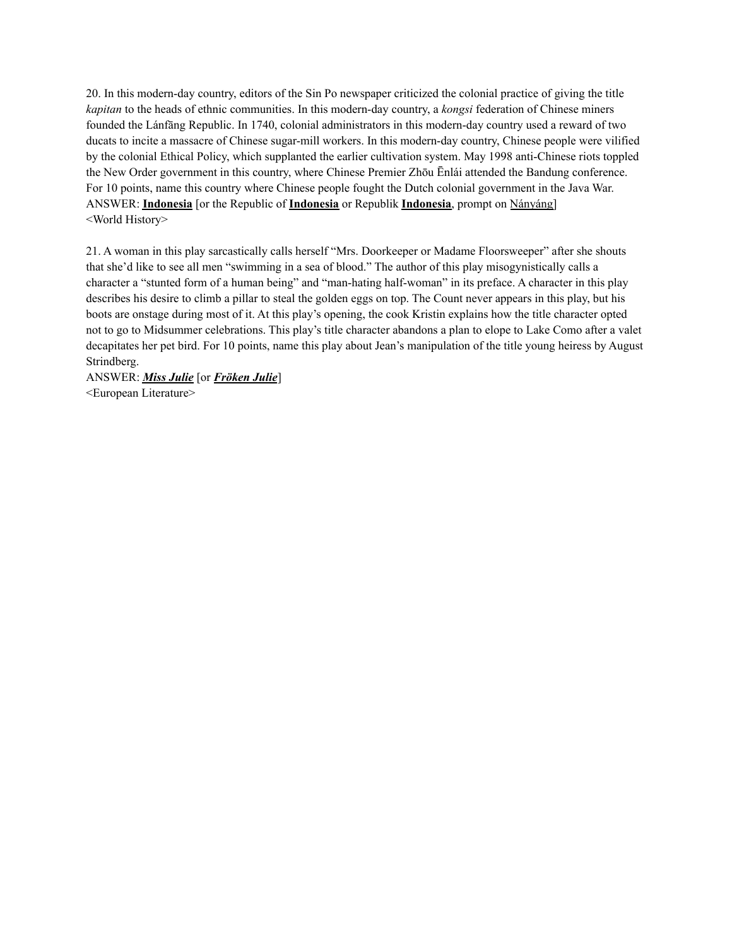20. In this modern-day country, editors of the Sin Po newspaper criticized the colonial practice of giving the title *kapitan* to the heads of ethnic communities. In this modern-day country, a *kongsi* federation of Chinese miners founded the Lánfāng Republic. In 1740, colonial administrators in this modern-day country used a reward of two ducats to incite a massacre of Chinese sugar-mill workers. In this modern-day country, Chinese people were vilified by the colonial Ethical Policy, which supplanted the earlier cultivation system. May 1998 anti-Chinese riots toppled the New Order government in this country, where Chinese Premier Zhōu Ēnlái attended the Bandung conference. For 10 points, name this country where Chinese people fought the Dutch colonial government in the Java War. ANSWER: **Indonesia** [or the Republic of **Indonesia** or Republik **Indonesia**, prompt on Nányáng] <World History>

21. A woman in this play sarcastically calls herself "Mrs. Doorkeeper or Madame Floorsweeper" after she shouts that she'd like to see all men "swimming in a sea of blood." The author of this play misogynistically calls a character a "stunted form of a human being" and "man-hating half-woman" in its preface. A character in this play describes his desire to climb a pillar to steal the golden eggs on top. The Count never appears in this play, but his boots are onstage during most of it. At this play's opening, the cook Kristin explains how the title character opted not to go to Midsummer celebrations. This play's title character abandons a plan to elope to Lake Como after a valet decapitates her pet bird. For 10 points, name this play about Jean's manipulation of the title young heiress by August Strindberg.

ANSWER: *Miss Julie* [or *Fröken Julie*] <European Literature>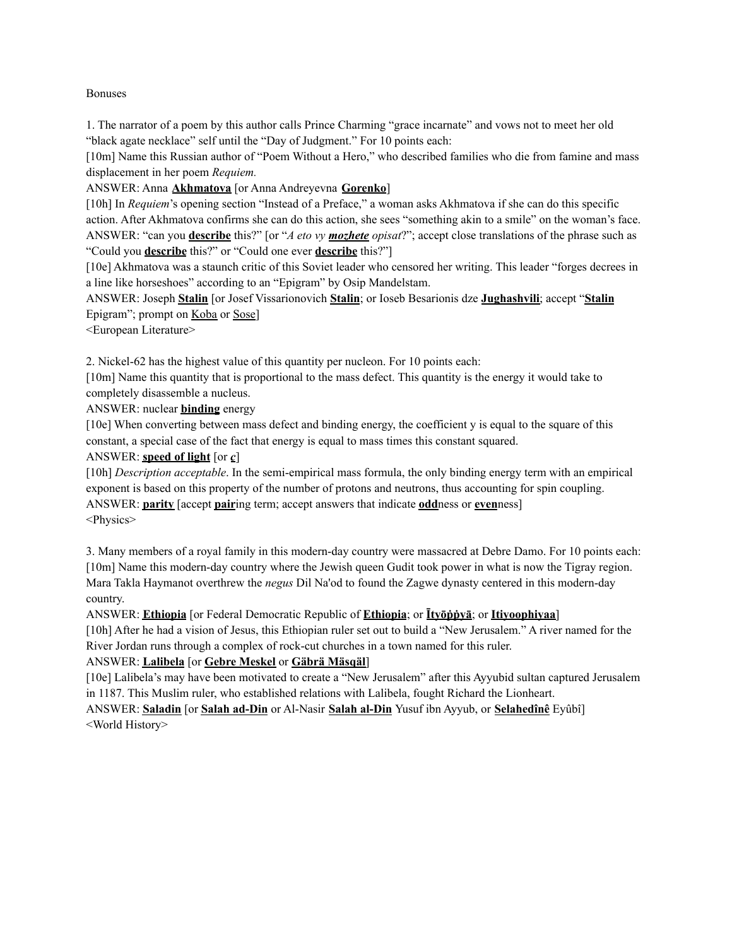#### Bonuses

1. The narrator of a poem by this author calls Prince Charming "grace incarnate" and vows not to meet her old "black agate necklace" self until the "Day of Judgment." For 10 points each:

[10m] Name this Russian author of "Poem Without a Hero," who described families who die from famine and mass displacement in her poem *Requiem.*

ANSWER: Anna **Akhmatova** [or Anna Andreyevna **Gorenko**]

[10h] In *Requiem*'s opening section "Instead of a Preface," a woman asks Akhmatova if she can do this specific action. After Akhmatova confirms she can do this action, she sees "something akin to a smile" on the woman's face. ANSWER: "can you **describe** this?" [or "*A eto vy mozhete opisat*?"; accept close translations of the phrase such as "Could you **describe** this?" or "Could one ever **describe** this?"]

[10e] Akhmatova was a staunch critic of this Soviet leader who censored her writing. This leader "forges decrees in a line like horseshoes" according to an "Epigram" by Osip Mandelstam.

ANSWER: Joseph **Stalin** [or Josef Vissarionovich **Stalin**; or Ioseb Besarionis dze **Jughashvili**; accept "**Stalin** Epigram"; prompt on Koba or Sose]

<European Literature>

2. Nickel-62 has the highest value of this quantity per nucleon. For 10 points each:

[10m] Name this quantity that is proportional to the mass defect. This quantity is the energy it would take to completely disassemble a nucleus.

ANSWER: nuclear **binding** energy

[10e] When converting between mass defect and binding energy, the coefficient y is equal to the square of this constant, a special case of the fact that energy is equal to mass times this constant squared.

### ANSWER: **speed of light** [or *c*]

[10h] *Description acceptable*. In the semi-empirical mass formula, the only binding energy term with an empirical exponent is based on this property of the number of protons and neutrons, thus accounting for spin coupling. ANSWER: **parity** [accept **pair**ing term; accept answers that indicate **odd**ness or **even**ness] <Physics>

3. Many members of a royal family in this modern-day country were massacred at Debre Damo. For 10 points each: [10m] Name this modern-day country where the Jewish queen Gudit took power in what is now the Tigray region. Mara Takla Haymanot overthrew the *negus* Dil Na'od to found the Zagwe dynasty centered in this modern-day country.

ANSWER: **Ethiopia** [or Federal Democratic Republic of **Ethiopia**; or **Ītyōṗṗyā**; or **Itiyoophiyaa**]

[10h] After he had a vision of Jesus, this Ethiopian ruler set out to build a "New Jerusalem." A river named for the River Jordan runs through a complex of rock-cut churches in a town named for this ruler.

# ANSWER: **Lalibela** [or **Gebre Meskel** or **Gäbrä Mäsqäl**]

[10e] Lalibela's may have been motivated to create a "New Jerusalem" after this Ayyubid sultan captured Jerusalem in 1187. This Muslim ruler, who established relations with Lalibela, fought Richard the Lionheart.

ANSWER: **Saladin** [or **Salah ad-Din** or Al-Nasir **Salah al-Din** Yusuf ibn Ayyub, or **Selahedînê** Eyûbî] <World History>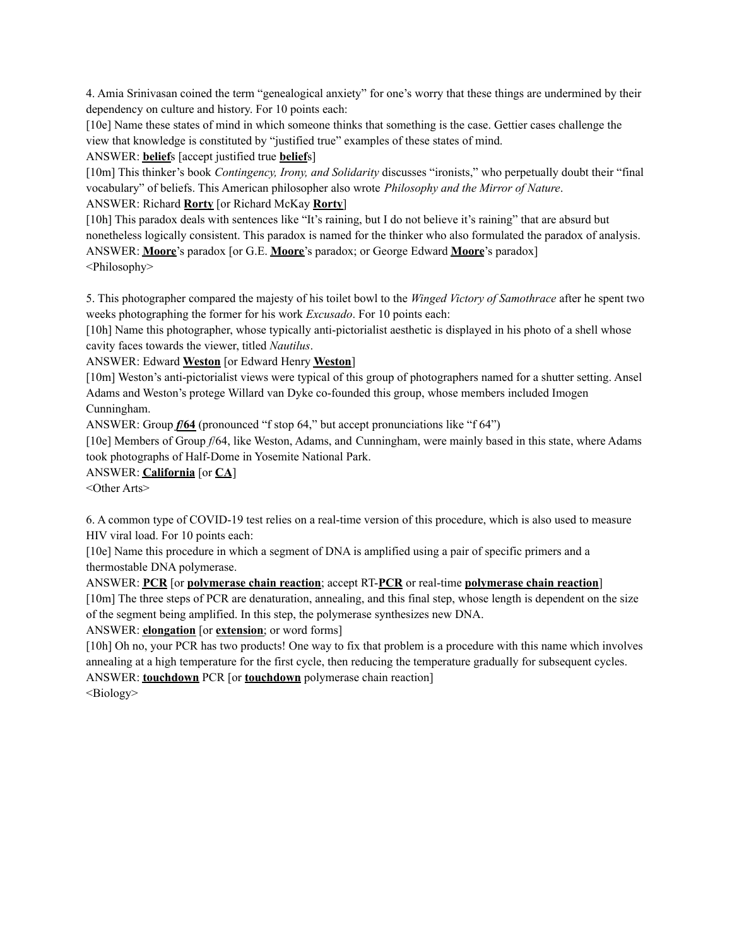4. Amia Srinivasan coined the term "genealogical anxiety" for one's worry that these things are undermined by their dependency on culture and history. For 10 points each:

[10e] Name these states of mind in which someone thinks that something is the case. Gettier cases challenge the view that knowledge is constituted by "justified true" examples of these states of mind.

ANSWER: **belief**s [accept justified true **belief**s]

[10m] This thinker's book *Contingency, Irony, and Solidarity* discusses "ironists," who perpetually doubt their "final vocabulary" of beliefs. This American philosopher also wrote *Philosophy and the Mirror of Nature*.

ANSWER: Richard **Rorty** [or Richard McKay **Rorty**]

[10h] This paradox deals with sentences like "It's raining, but I do not believe it's raining" that are absurd but nonetheless logically consistent. This paradox is named for the thinker who also formulated the paradox of analysis. ANSWER: **Moore**'s paradox [or G.E. **Moore**'s paradox; or George Edward **Moore**'s paradox] <Philosophy>

5. This photographer compared the majesty of his toilet bowl to the *Winged Victory of Samothrace* after he spent two weeks photographing the former for his work *Excusado*. For 10 points each:

[10h] Name this photographer, whose typically anti-pictorialist aesthetic is displayed in his photo of a shell whose cavity faces towards the viewer, titled *Nautilus*.

ANSWER: Edward **Weston** [or Edward Henry **Weston**]

[10m] Weston's anti-pictorialist views were typical of this group of photographers named for a shutter setting. Ansel Adams and Weston's protege Willard van Dyke co-founded this group, whose members included Imogen Cunningham.

ANSWER: Group *f***/64** (pronounced "f stop 64," but accept pronunciations like "f 64")

[10e] Members of Group *f*/64, like Weston, Adams, and Cunningham, were mainly based in this state, where Adams took photographs of Half-Dome in Yosemite National Park.

ANSWER: **California** [or **CA**]

<Other Arts>

6. A common type of COVID-19 test relies on a real-time version of this procedure, which is also used to measure HIV viral load. For 10 points each:

[10e] Name this procedure in which a segment of DNA is amplified using a pair of specific primers and a thermostable DNA polymerase.

ANSWER: **PCR** [or **polymerase chain reaction**; accept RT-**PCR** or real-time **polymerase chain reaction**]

[10m] The three steps of PCR are denaturation, annealing, and this final step, whose length is dependent on the size of the segment being amplified. In this step, the polymerase synthesizes new DNA.

ANSWER: **elongation** [or **extension**; or word forms]

[10h] Oh no, your PCR has two products! One way to fix that problem is a procedure with this name which involves annealing at a high temperature for the first cycle, then reducing the temperature gradually for subsequent cycles. ANSWER: **touchdown** PCR [or **touchdown** polymerase chain reaction]

<Biology>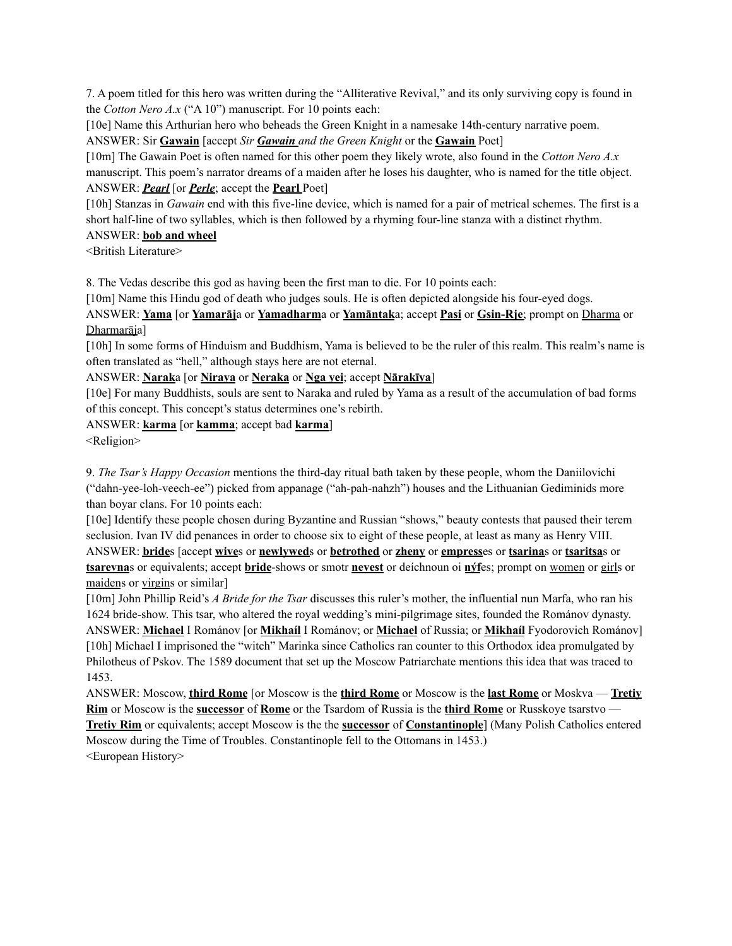7. A poem titled for this hero was written during the "Alliterative Revival," and its only surviving copy is found in the *Cotton Nero A.x* ("A 10") manuscript. For 10 points each:

[10e] Name this Arthurian hero who beheads the Green Knight in a namesake 14th-century narrative poem. ANSWER: Sir **Gawain** [accept *Sir Gawain and the Green Knight* or the **Gawain** Poet]

[10m] The Gawain Poet is often named for this other poem they likely wrote, also found in the *Cotton Nero A.x* manuscript. This poem's narrator dreams of a maiden after he loses his daughter, who is named for the title object. ANSWER: *Pearl* [or *Perle*; accept the **Pearl** Poet]

[10h] Stanzas in *Gawain* end with this five-line device, which is named for a pair of metrical schemes. The first is a short half-line of two syllables, which is then followed by a rhyming four-line stanza with a distinct rhythm. ANSWER: **bob and wheel**

<British Literature>

8. The Vedas describe this god as having been the first man to die. For 10 points each:

[10m] Name this Hindu god of death who judges souls. He is often depicted alongside his four-eyed dogs.

ANSWER: **Yama** [or **Yamarāj**a or **Yamadharm**a or **Yamāntak**a; accept **Pasi** or **Gsin-Rje**; prompt on Dharma or Dharmarāja]

[10h] In some forms of Hinduism and Buddhism, Yama is believed to be the ruler of this realm. This realm's name is often translated as "hell," although stays here are not eternal.

ANSWER: **Narak**a [or **Niraya** or **Neraka** or **Nga yei**; accept **Nārakīya**]

[10e] For many Buddhists, souls are sent to Naraka and ruled by Yama as a result of the accumulation of bad forms of this concept. This concept's status determines one's rebirth.

ANSWER: **karma** [or **kamma**; accept bad **karma**]

<Religion>

9. *The Tsar's Happy Occasion* mentions the third-day ritual bath taken by these people, whom the Daniilovichi ("dahn-yee-loh-veech-ee") picked from appanage ("ah-pah-nahzh") houses and the Lithuanian Gediminids more than boyar clans. For 10 points each:

[10e] Identify these people chosen during Byzantine and Russian "shows," beauty contests that paused their terem seclusion. Ivan IV did penances in order to choose six to eight of these people, at least as many as Henry VIII. ANSWER: **bride**s [accept **wive**s or **newlywed**s or **betrothed** or **zheny** or **empress**es or **tsarina**s or **tsaritsa**s or **tsarevna**s or equivalents; accept **bride**-shows or smotr **nevest** or deíchnoun oi **nýf**es; prompt on women or girls or maidens or virgins or similar]

[10m] John Phillip Reid's *A Bride for the Tsar* discusses this ruler's mother, the influential nun Marfa, who ran his 1624 bride-show. This tsar, who altered the royal wedding's mini-pilgrimage sites, founded the Románov dynasty. ANSWER: **Michael** I Románov [or **Mikhaíl** I Románov; or **Michael** of Russia; or **Mikhaíl** Fyodorovich Románov] [10h] Michael I imprisoned the "witch" Marinka since Catholics ran counter to this Orthodox idea promulgated by Philotheus of Pskov. The 1589 document that set up the Moscow Patriarchate mentions this idea that was traced to 1453.

ANSWER: Moscow, **third Rome** [or Moscow is the **third Rome** or Moscow is the **last Rome** or Moskva — **Tretiy Rim** or Moscow is the **successor** of **Rome** or the Tsardom of Russia is the **third Rome** or Russkoye tsarstvo — **Tretiy Rim** or equivalents; accept Moscow is the the **successor** of **Constantinople**] (Many Polish Catholics entered Moscow during the Time of Troubles. Constantinople fell to the Ottomans in 1453.) <European History>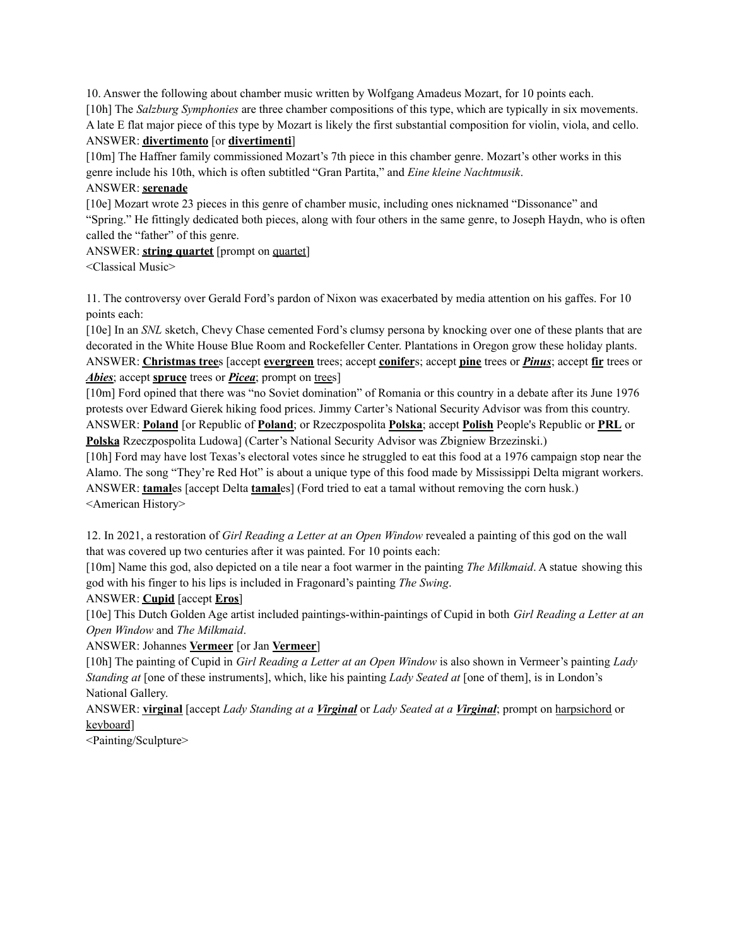10. Answer the following about chamber music written by Wolfgang Amadeus Mozart, for 10 points each. [10h] The *Salzburg Symphonies* are three chamber compositions of this type, which are typically in six movements. A late E flat major piece of this type by Mozart is likely the first substantial composition for violin, viola, and cello. ANSWER: **divertimento** [or **divertimenti**]

[10m] The Haffner family commissioned Mozart's 7th piece in this chamber genre. Mozart's other works in this genre include his 10th, which is often subtitled "Gran Partita," and *Eine kleine Nachtmusik*.

## ANSWER: **serenade**

[10e] Mozart wrote 23 pieces in this genre of chamber music, including ones nicknamed "Dissonance" and "Spring." He fittingly dedicated both pieces, along with four others in the same genre, to Joseph Haydn, who is often called the "father" of this genre.

ANSWER: **string quartet** [prompt on quartet]

<Classical Music>

11. The controversy over Gerald Ford's pardon of Nixon was exacerbated by media attention on his gaffes. For 10 points each:

[10e] In an *SNL* sketch, Chevy Chase cemented Ford's clumsy persona by knocking over one of these plants that are decorated in the White House Blue Room and Rockefeller Center. Plantations in Oregon grow these holiday plants. ANSWER: **Christmas tree**s [accept **evergreen** trees; accept **conifer**s; accept **pine** trees or *Pinus*; accept **fir** trees or *Abies*; accept **spruce** trees or *Picea*; prompt on trees]

[10m] Ford opined that there was "no Soviet domination" of Romania or this country in a debate after its June 1976 protests over Edward Gierek hiking food prices. Jimmy Carter's National Security Advisor was from this country. ANSWER: **Poland** [or Republic of **Poland**; or Rzeczpospolita **Polska**; accept **Polish** People's Republic or **PRL** or **Polska** Rzeczpospolita Ludowa] (Carter's National Security Advisor was Zbigniew Brzezinski.)

[10h] Ford may have lost Texas's electoral votes since he struggled to eat this food at a 1976 campaign stop near the Alamo. The song "They're Red Hot" is about a unique type of this food made by Mississippi Delta migrant workers. ANSWER: **tamal**es [accept Delta **tamal**es] (Ford tried to eat a tamal without removing the corn husk.) <American History>

12. In 2021, a restoration of *Girl Reading a Letter at an Open Window* revealed a painting of this god on the wall that was covered up two centuries after it was painted. For 10 points each:

[10m] Name this god, also depicted on a tile near a foot warmer in the painting *The Milkmaid*. A statue showing this god with his finger to his lips is included in Fragonard's painting *The Swing*.

# ANSWER: **Cupid** [accept **Eros**]

[10e] This Dutch Golden Age artist included paintings-within-paintings of Cupid in both *Girl Reading a Letter at an Open Window* and *The Milkmaid*.

ANSWER: Johannes **Vermeer** [or Jan **Vermeer**]

[10h] The painting of Cupid in *Girl Reading a Letter at an Open Window* is also shown in Vermeer's painting *Lady Standing at* [one of these instruments], which, like his painting *Lady Seated at* [one of them], is in London's National Gallery.

ANSWER: **virginal** [accept *Lady Standing at a Virginal* or *Lady Seated at a Virginal*; prompt on harpsichord or keyboard]

<Painting/Sculpture>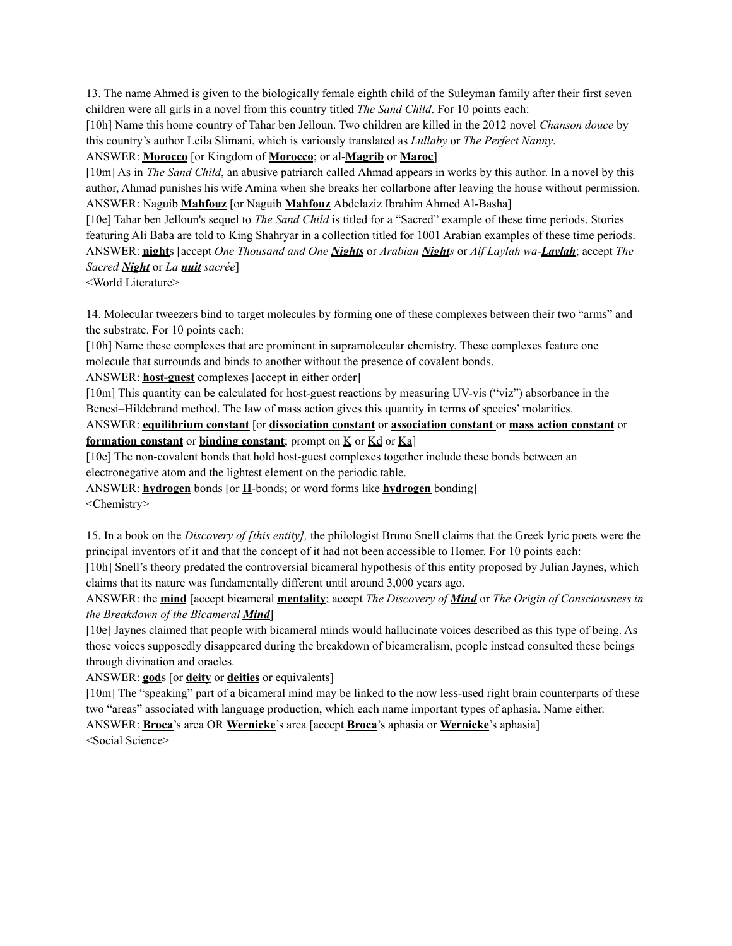13. The name Ahmed is given to the biologically female eighth child of the Suleyman family after their first seven children were all girls in a novel from this country titled *The Sand Child*. For 10 points each:

[10h] Name this home country of Tahar ben Jelloun. Two children are killed in the 2012 novel *Chanson douce* by this country's author Leila Slimani, which is variously translated as *Lullaby* or *The Perfect Nanny*.

ANSWER: **Morocco** [or Kingdom of **Morocco**; or al-**Magrib** or **Maroc**]

[10m] As in *The Sand Child*, an abusive patriarch called Ahmad appears in works by this author. In a novel by this author, Ahmad punishes his wife Amina when she breaks her collarbone after leaving the house without permission. ANSWER: Naguib **Mahfouz** [or Naguib **Mahfouz** Abdelaziz Ibrahim Ahmed Al-Basha]

[10e] Tahar ben Jelloun's sequel to *The Sand Child* is titled for a "Sacred" example of these time periods. Stories featuring Ali Baba are told to King Shahryar in a collection titled for 1001 Arabian examples of these time periods. ANSWER: **night**s [accept *One Thousand and One Nights* or *Arabian Nights* or *Alf Laylah wa-Laylah*; accept *The Sacred Night* or *La nuit sacrée*]

<World Literature>

14. Molecular tweezers bind to target molecules by forming one of these complexes between their two "arms" and the substrate. For 10 points each:

[10h] Name these complexes that are prominent in supramolecular chemistry. These complexes feature one molecule that surrounds and binds to another without the presence of covalent bonds.

ANSWER: **host-guest** complexes [accept in either order]

[10m] This quantity can be calculated for host-guest reactions by measuring UV-vis ("viz") absorbance in the Benesi–Hildebrand method. The law of mass action gives this quantity in terms of species' molarities.

ANSWER: **equilibrium constant** [or **dissociation constant** or **association constant** or **mass action constant** or **formation constant** or **binding constant**; prompt on K or Kd or Ka]

[10e] The non-covalent bonds that hold host-guest complexes together include these bonds between an electronegative atom and the lightest element on the periodic table.

ANSWER: **hydrogen** bonds [or **H**-bonds; or word forms like **hydrogen** bonding]

<Chemistry>

15. In a book on the *Discovery of [this entity],* the philologist Bruno Snell claims that the Greek lyric poets were the principal inventors of it and that the concept of it had not been accessible to Homer. For 10 points each:

[10h] Snell's theory predated the controversial bicameral hypothesis of this entity proposed by Julian Jaynes, which claims that its nature was fundamentally different until around 3,000 years ago.

ANSWER: the **mind** [accept bicameral **mentality**; accept *The Discovery of Mind* or *The Origin of Consciousness in the Breakdown of the Bicameral Mind*]

[10e] Jaynes claimed that people with bicameral minds would hallucinate voices described as this type of being. As those voices supposedly disappeared during the breakdown of bicameralism, people instead consulted these beings through divination and oracles.

ANSWER: **god**s [or **deity** or **deities** or equivalents]

[10m] The "speaking" part of a bicameral mind may be linked to the now less-used right brain counterparts of these two "areas" associated with language production, which each name important types of aphasia. Name either. ANSWER: **Broca**'s area OR **Wernicke**'s area [accept **Broca**'s aphasia or **Wernicke**'s aphasia]

<Social Science>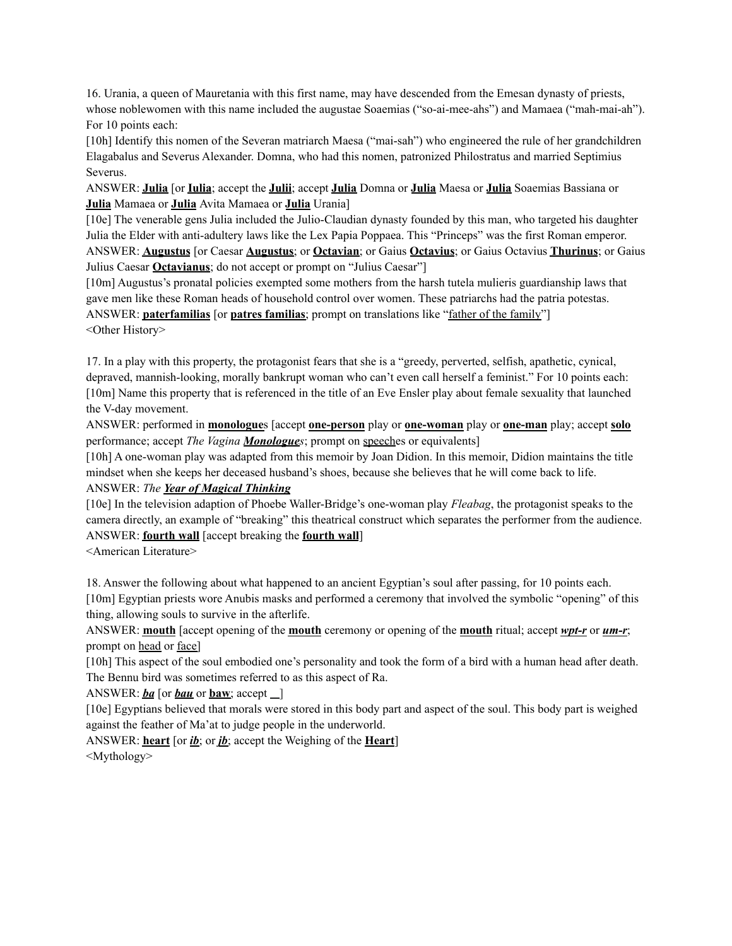16. Urania, a queen of Mauretania with this first name, may have descended from the Emesan dynasty of priests, whose noblewomen with this name included the augustae Soaemias ("so-ai-mee-ahs") and Mamaea ("mah-mai-ah"). For 10 points each:

[10h] Identify this nomen of the Severan matriarch Maesa ("mai-sah") who engineered the rule of her grandchildren Elagabalus and Severus Alexander. Domna, who had this nomen, patronized Philostratus and married Septimius Severus.

ANSWER: **Julia** [or **Iulia**; accept the **Julii**; accept **Julia** Domna or **Julia** Maesa or **Julia** Soaemias Bassiana or **Julia** Mamaea or **Julia** Avita Mamaea or **Julia** Urania]

[10e] The venerable gens Julia included the Julio-Claudian dynasty founded by this man, who targeted his daughter Julia the Elder with anti-adultery laws like the Lex Papia Poppaea. This "Princeps" was the first Roman emperor. ANSWER: **Augustus** [or Caesar **Augustus**; or **Octavian**; or Gaius **Octavius**; or Gaius Octavius **Thurinus**; or Gaius Julius Caesar **Octavianus**; do not accept or prompt on "Julius Caesar"]

[10m] Augustus's pronatal policies exempted some mothers from the harsh tutela mulieris guardianship laws that gave men like these Roman heads of household control over women. These patriarchs had the patria potestas. ANSWER: **paterfamilias** [or **patres familias**; prompt on translations like "father of the family"] <Other History>

17. In a play with this property, the protagonist fears that she is a "greedy, perverted, selfish, apathetic, cynical, depraved, mannish-looking, morally bankrupt woman who can't even call herself a feminist." For 10 points each: [10m] Name this property that is referenced in the title of an Eve Ensler play about female sexuality that launched the V-day movement.

ANSWER: performed in **monologue**s [accept **one-person** play or **one-woman** play or **one-man** play; accept **solo** performance; accept *The Vagina Monologues*; prompt on speeches or equivalents]

[10h] A one-woman play was adapted from this memoir by Joan Didion. In this memoir, Didion maintains the title mindset when she keeps her deceased husband's shoes, because she believes that he will come back to life.

# ANSWER: *The Year of Magical Thinking*

[10e] In the television adaption of Phoebe Waller-Bridge's one-woman play *Fleabag*, the protagonist speaks to the camera directly, an example of "breaking" this theatrical construct which separates the performer from the audience. ANSWER: **fourth wall** [accept breaking the **fourth wall**]

<American Literature>

18. Answer the following about what happened to an ancient Egyptian's soul after passing, for 10 points each. [10m] Egyptian priests wore Anubis masks and performed a ceremony that involved the symbolic "opening" of this thing, allowing souls to survive in the afterlife.

ANSWER: **mouth** [accept opening of the **mouth** ceremony or opening of the **mouth** ritual; accept *wpt-r* or *um-r*; prompt on head or face]

[10h] This aspect of the soul embodied one's personality and took the form of a bird with a human head after death. The Bennu bird was sometimes referred to as this aspect of Ra.

ANSWER:  $ba$  [or  $bau$  or  $baw$ ; accept  $\Box$ ]

[10e] Egyptians believed that morals were stored in this body part and aspect of the soul. This body part is weighed against the feather of Ma'at to judge people in the underworld.

ANSWER: **heart** [or *ib*; or *jb*; accept the Weighing of the **Heart**] <Mythology>